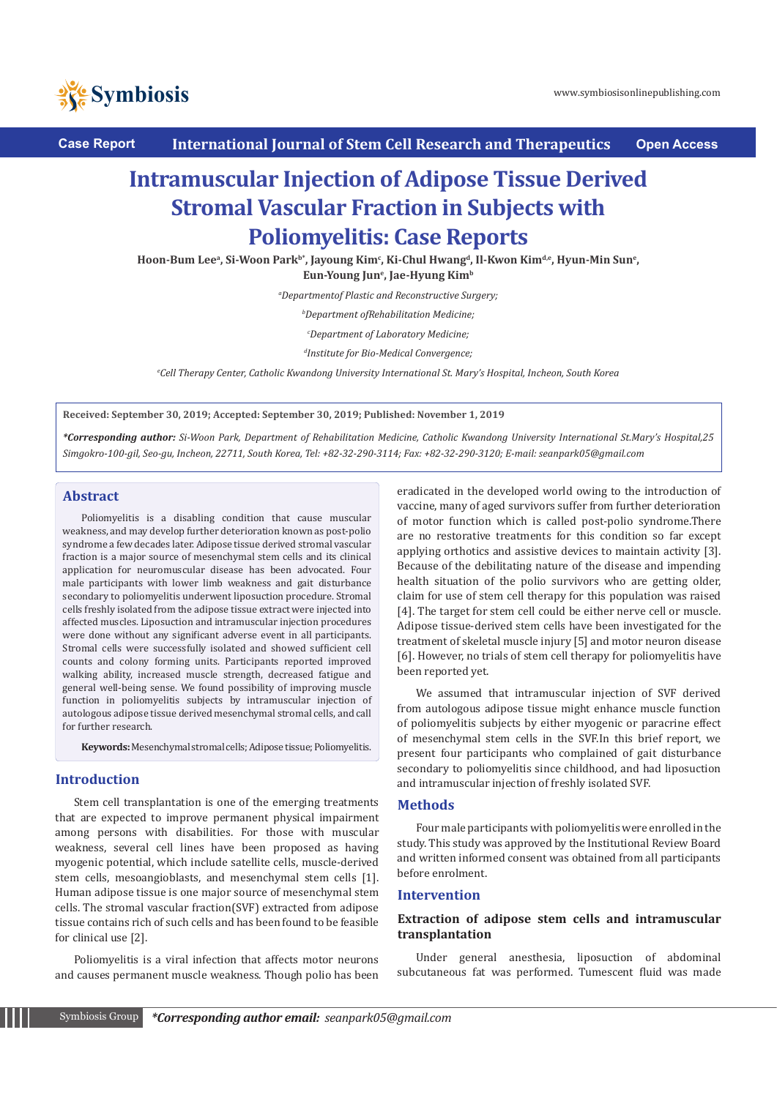

**Case Report International Journal of Stem Cell Research and Therapeutics Open Access**

# **Intramuscular Injection of Adipose Tissue Derived Stromal Vascular Fraction in Subjects with Poliomyelitis: Case Reports**

Hoon-Bum Leeª, Si-Woon Parkʰ\*, Jayoung Kimˤ, Ki-Chul Hwang<sup>d</sup>, Il-Kwon Kim<sup>d.e</sup>, Hyun-Min Sunº, **Eun-Young June , Jae-Hyung Kimb**

*a Departmentof Plastic and Reconstructive Surgery;* 

*b Department ofRehabilitation Medicine;*

*c Department of Laboratory Medicine;* 

*d Institute for Bio-Medical Convergence;* 

*e Cell Therapy Center, Catholic Kwandong University International St. Mary's Hospital, Incheon, South Korea*

**Received: September 30, 2019; Accepted: September 30, 2019; Published: November 1, 2019**

*\*Corresponding author: Si-Woon Park, Department of Rehabilitation Medicine, Catholic Kwandong University International St.Mary's Hospital,25 Simgokro-100-gil, Seo-gu, Incheon, 22711, South Korea, Tel: +82-32-290-3114; Fax: +82-32-290-3120; E-mail: seanpark05@gmail.com* 

## **Abstract**

Poliomyelitis is a disabling condition that cause muscular weakness, and may develop further deterioration known as post-polio syndrome a few decades later. Adipose tissue derived stromal vascular fraction is a major source of mesenchymal stem cells and its clinical application for neuromuscular disease has been advocated. Four male participants with lower limb weakness and gait disturbance secondary to poliomyelitis underwent liposuction procedure. Stromal cells freshly isolated from the adipose tissue extract were injected into affected muscles. Liposuction and intramuscular injection procedures were done without any significant adverse event in all participants. Stromal cells were successfully isolated and showed sufficient cell counts and colony forming units. Participants reported improved walking ability, increased muscle strength, decreased fatigue and general well-being sense. We found possibility of improving muscle function in poliomyelitis subjects by intramuscular injection of autologous adipose tissue derived mesenchymal stromal cells, and call for further research.

**Keywords:** Mesenchymal stromal cells; Adipose tissue; Poliomyelitis.

## **Introduction**

Stem cell transplantation is one of the emerging treatments that are expected to improve permanent physical impairment among persons with disabilities. For those with muscular weakness, several cell lines have been proposed as having myogenic potential, which include satellite cells, muscle-derived stem cells, mesoangioblasts, and mesenchymal stem cells [1]. Human adipose tissue is one major source of mesenchymal stem cells. The stromal vascular fraction(SVF) extracted from adipose tissue contains rich of such cells and has been found to be feasible for clinical use [2].

Poliomyelitis is a viral infection that affects motor neurons and causes permanent muscle weakness. Though polio has been eradicated in the developed world owing to the introduction of vaccine, many of aged survivors suffer from further deterioration of motor function which is called post-polio syndrome.There are no restorative treatments for this condition so far except applying orthotics and assistive devices to maintain activity [3]. Because of the debilitating nature of the disease and impending health situation of the polio survivors who are getting older, claim for use of stem cell therapy for this population was raised [4]. The target for stem cell could be either nerve cell or muscle. Adipose tissue-derived stem cells have been investigated for the treatment of skeletal muscle injury [5] and motor neuron disease [6]. However, no trials of stem cell therapy for poliomyelitis have been reported yet.

We assumed that intramuscular injection of SVF derived from autologous adipose tissue might enhance muscle function of poliomyelitis subjects by either myogenic or paracrine effect of mesenchymal stem cells in the SVF.In this brief report, we present four participants who complained of gait disturbance secondary to poliomyelitis since childhood, and had liposuction and intramuscular injection of freshly isolated SVF.

# **Methods**

Four male participants with poliomyelitis were enrolled in the study. This study was approved by the Institutional Review Board and written informed consent was obtained from all participants before enrolment.

#### **Intervention**

# **Extraction of adipose stem cells and intramuscular transplantation**

Under general anesthesia, liposuction of abdominal subcutaneous fat was performed. Tumescent fluid was made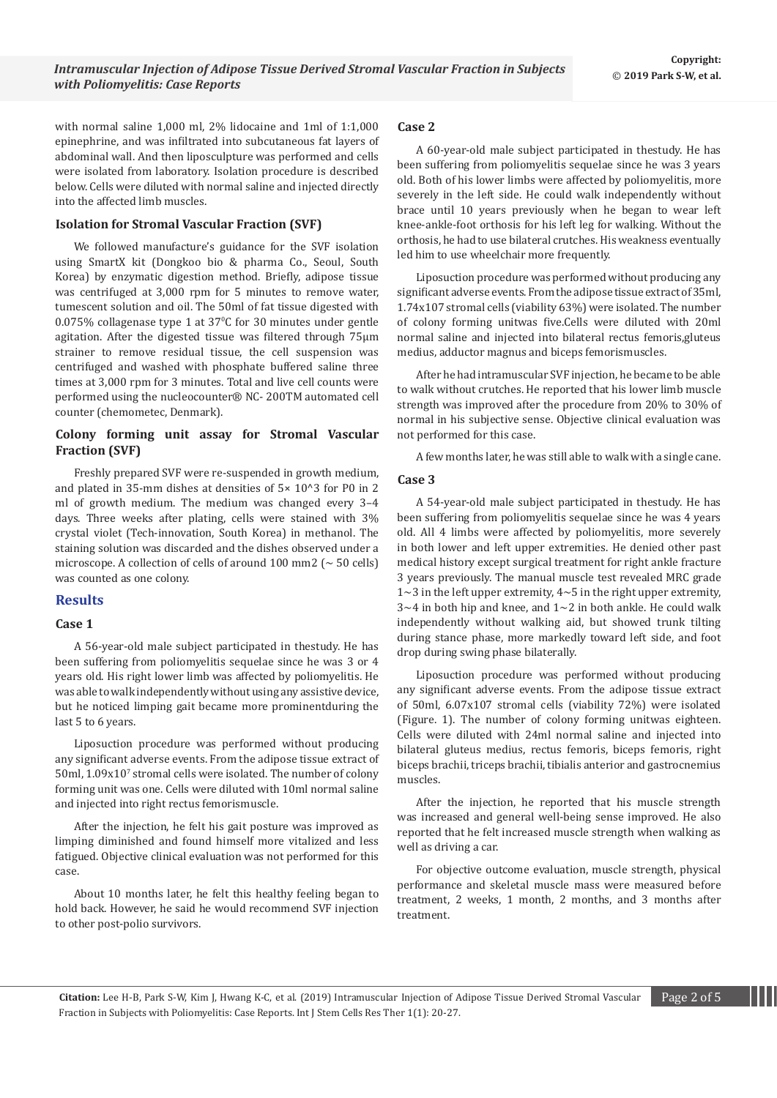with normal saline 1,000 ml, 2% lidocaine and 1ml of 1:1,000 epinephrine, and was infiltrated into subcutaneous fat layers of abdominal wall. And then liposculpture was performed and cells were isolated from laboratory. Isolation procedure is described below. Cells were diluted with normal saline and injected directly into the affected limb muscles.

#### **Isolation for Stromal Vascular Fraction (SVF)**

We followed manufacture's guidance for the SVF isolation using SmartX kit (Dongkoo bio & pharma Co., Seoul, South Korea) by enzymatic digestion method. Briefly, adipose tissue was centrifuged at 3,000 rpm for 5 minutes to remove water, tumescent solution and oil. The 50ml of fat tissue digested with  $0.075\%$  collagenase type 1 at 37°C for 30 minutes under gentle agitation. After the digested tissue was filtered through 75μm strainer to remove residual tissue, the cell suspension was centrifuged and washed with phosphate buffered saline three times at 3,000 rpm for 3 minutes. Total and live cell counts were performed using the nucleocounter® NC- 200TM automated cell counter (chemometec, Denmark).

#### **Colony forming unit assay for Stromal Vascular Fraction (SVF)**

Freshly prepared SVF were re-suspended in growth medium, and plated in 35-mm dishes at densities of 5× 10^3 for P0 in 2 ml of growth medium. The medium was changed every 3–4 days. Three weeks after plating, cells were stained with 3% crystal violet (Tech-innovation, South Korea) in methanol. The staining solution was discarded and the dishes observed under a microscope. A collection of cells of around 100 mm2 ( $\sim$  50 cells) was counted as one colony.

# **Results**

#### **Case 1**

A 56-year-old male subject participated in thestudy. He has been suffering from poliomyelitis sequelae since he was 3 or 4 years old. His right lower limb was affected by poliomyelitis. He was able to walk independently without using any assistive device, but he noticed limping gait became more prominentduring the last 5 to 6 years.

Liposuction procedure was performed without producing any significant adverse events. From the adipose tissue extract of 50ml, 1.09x107 stromal cells were isolated. The number of colony forming unit was one. Cells were diluted with 10ml normal saline and injected into right rectus femorismuscle.

After the injection, he felt his gait posture was improved as limping diminished and found himself more vitalized and less fatigued. Objective clinical evaluation was not performed for this case.

About 10 months later, he felt this healthy feeling began to hold back. However, he said he would recommend SVF injection to other post-polio survivors.

#### **Case 2**

A 60-year-old male subject participated in thestudy. He has been suffering from poliomyelitis sequelae since he was 3 years old. Both of his lower limbs were affected by poliomyelitis, more severely in the left side. He could walk independently without brace until 10 years previously when he began to wear left knee-ankle-foot orthosis for his left leg for walking. Without the orthosis, he had to use bilateral crutches. His weakness eventually led him to use wheelchair more frequently.

Liposuction procedure was performed without producing any significant adverse events. From the adipose tissue extract of 35ml, 1.74x107 stromal cells (viability 63%) were isolated. The number of colony forming unitwas five.Cells were diluted with 20ml normal saline and injected into bilateral rectus femoris,gluteus medius, adductor magnus and biceps femorismuscles.

After he had intramuscular SVF injection, he became to be able to walk without crutches. He reported that his lower limb muscle strength was improved after the procedure from 20% to 30% of normal in his subjective sense. Objective clinical evaluation was not performed for this case.

A few months later, he was still able to walk with a single cane.

#### **Case 3**

A 54-year-old male subject participated in thestudy. He has been suffering from poliomyelitis sequelae since he was 4 years old. All 4 limbs were affected by poliomyelitis, more severely in both lower and left upper extremities. He denied other past medical history except surgical treatment for right ankle fracture 3 years previously. The manual muscle test revealed MRC grade  $1~3$  in the left upper extremity,  $4~5$  in the right upper extremity,  $3~4$  in both hip and knee, and  $1~2$  in both ankle. He could walk independently without walking aid, but showed trunk tilting during stance phase, more markedly toward left side, and foot drop during swing phase bilaterally.

Liposuction procedure was performed without producing any significant adverse events. From the adipose tissue extract of 50ml, 6.07x107 stromal cells (viability 72%) were isolated (Figure. 1). The number of colony forming unitwas eighteen. Cells were diluted with 24ml normal saline and injected into bilateral gluteus medius, rectus femoris, biceps femoris, right biceps brachii, triceps brachii, tibialis anterior and gastrocnemius muscles.

After the injection, he reported that his muscle strength was increased and general well-being sense improved. He also reported that he felt increased muscle strength when walking as well as driving a car.

For objective outcome evaluation, muscle strength, physical performance and skeletal muscle mass were measured before treatment, 2 weeks, 1 month, 2 months, and 3 months after treatment.

**Citation:** Lee H-B, Park S-W, Kim J, Hwang K-C, et al. (2019) Intramuscular Injection of Adipose Tissue Derived Stromal Vascular Page 2 of 5 Fraction in Subjects with Poliomyelitis: Case Reports. Int J Stem Cells Res Ther 1(1): 20-27.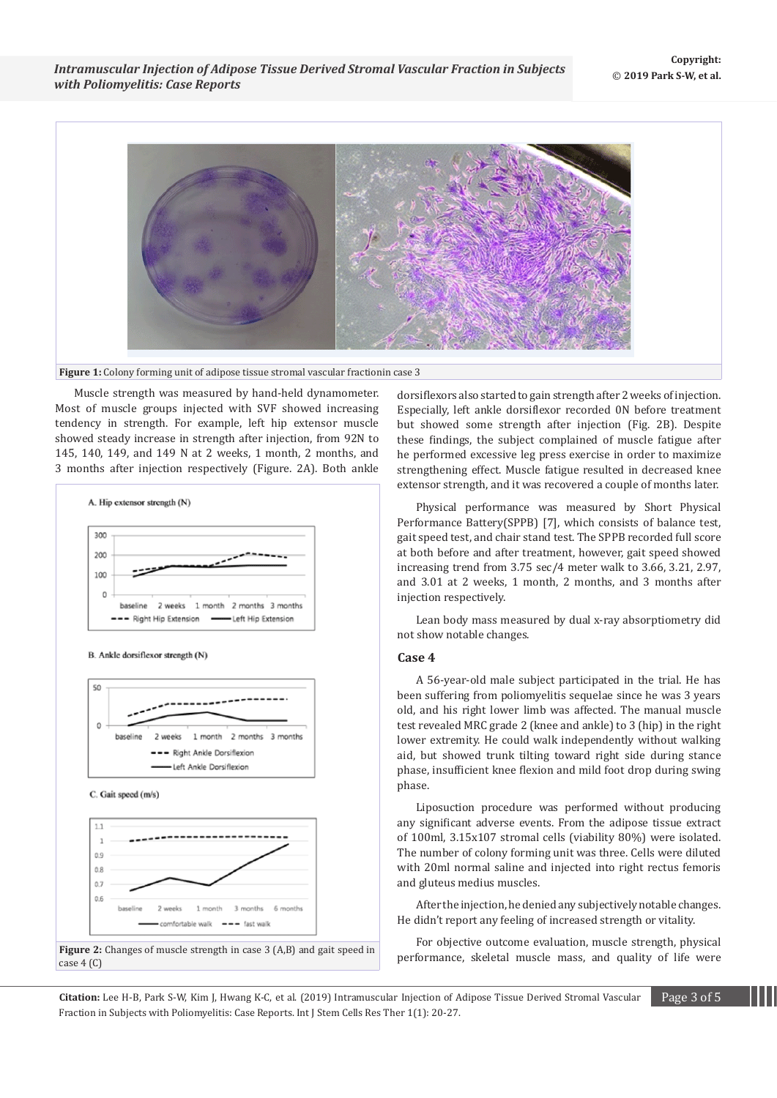

**Figure 1:** Colony forming unit of adipose tissue stromal vascular fractionin case 3

Muscle strength was measured by hand-held dynamometer. Most of muscle groups injected with SVF showed increasing tendency in strength. For example, left hip extensor muscle showed steady increase in strength after injection, from 92N to 145, 140, 149, and 149 N at 2 weeks, 1 month, 2 months, and 3 months after injection respectively (Figure. 2A). Both ankle



C. Gait speed (m/s)



- Left Ankle Dorsiflexion

**Figure 2:** Changes of muscle strength in case 3 (A,B) and gait speed in case 4 (C)

dorsiflexors also started to gain strength after 2 weeks of injection. Especially, left ankle dorsiflexor recorded 0N before treatment but showed some strength after injection (Fig. 2B). Despite these findings, the subject complained of muscle fatigue after he performed excessive leg press exercise in order to maximize strengthening effect. Muscle fatigue resulted in decreased knee extensor strength, and it was recovered a couple of months later.

Physical performance was measured by Short Physical Performance Battery(SPPB) [7], which consists of balance test, gait speed test, and chair stand test. The SPPB recorded full score at both before and after treatment, however, gait speed showed increasing trend from 3.75 sec/4 meter walk to 3.66, 3.21, 2.97, and 3.01 at 2 weeks, 1 month, 2 months, and 3 months after injection respectively.

Lean body mass measured by dual x-ray absorptiometry did not show notable changes.

#### **Case 4**

A 56-year-old male subject participated in the trial. He has been suffering from poliomyelitis sequelae since he was 3 years old, and his right lower limb was affected. The manual muscle test revealed MRC grade 2 (knee and ankle) to 3 (hip) in the right lower extremity. He could walk independently without walking aid, but showed trunk tilting toward right side during stance phase, insufficient knee flexion and mild foot drop during swing phase.

Liposuction procedure was performed without producing any significant adverse events. From the adipose tissue extract of 100ml, 3.15x107 stromal cells (viability 80%) were isolated. The number of colony forming unit was three. Cells were diluted with 20ml normal saline and injected into right rectus femoris and gluteus medius muscles.

After the injection, he denied any subjectively notable changes. He didn't report any feeling of increased strength or vitality.

For objective outcome evaluation, muscle strength, physical performance, skeletal muscle mass, and quality of life were

Citation: Lee H-B, Park S-W, Kim J, Hwang K-C, et al. (2019) Intramuscular Injection of Adipose Tissue Derived Stromal Vascular Page 3 of 5 Fraction in Subjects with Poliomyelitis: Case Reports. Int J Stem Cells Res Ther 1(1): 20-27.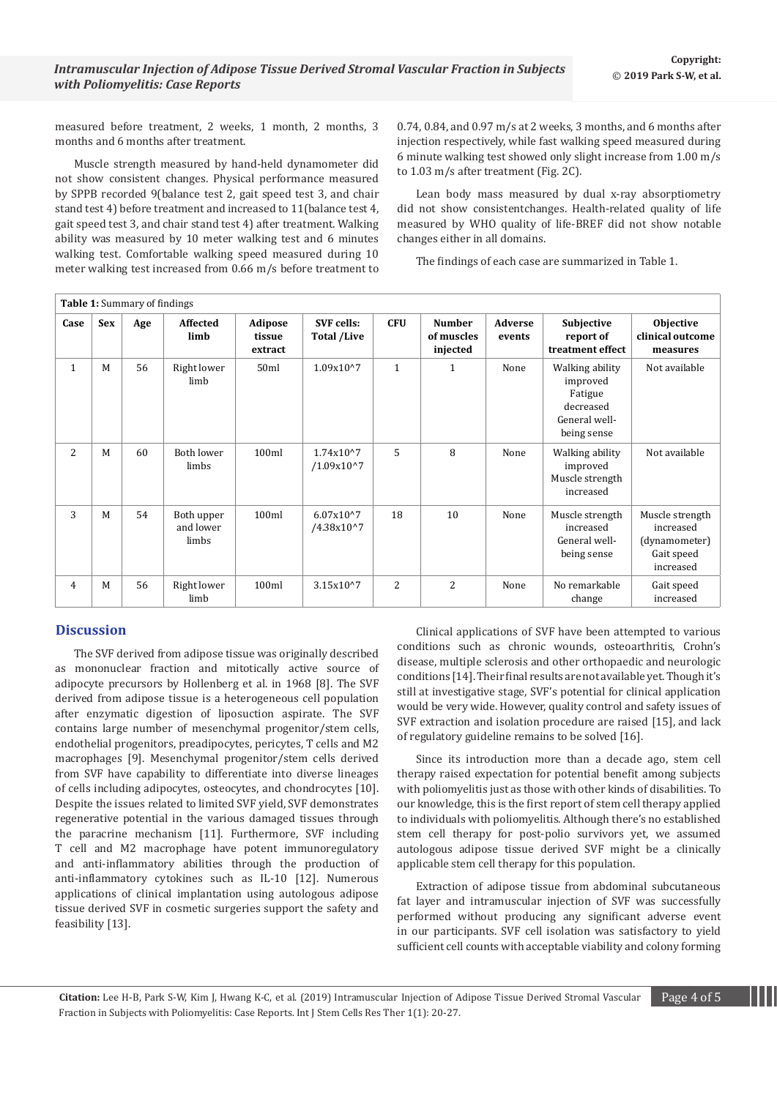measured before treatment, 2 weeks, 1 month, 2 months, 3 months and 6 months after treatment.

Muscle strength measured by hand-held dynamometer did not show consistent changes. Physical performance measured by SPPB recorded 9(balance test 2, gait speed test 3, and chair stand test 4) before treatment and increased to 11(balance test 4, gait speed test 3, and chair stand test 4) after treatment. Walking ability was measured by 10 meter walking test and 6 minutes walking test. Comfortable walking speed measured during 10 meter walking test increased from 0.66 m/s before treatment to

0.74, 0.84, and 0.97 m/s at 2 weeks, 3 months, and 6 months after injection respectively, while fast walking speed measured during 6 minute walking test showed only slight increase from 1.00 m/s to 1.03 m/s after treatment (Fig. 2C).

Lean body mass measured by dual x-ray absorptiometry did not show consistentchanges. Health-related quality of life measured by WHO quality of life-BREF did not show notable changes either in all domains.

The findings of each case are summarized in Table 1.

| Table 1: Summary of findings |            |     |                                  |                              |                                         |                |                                         |                   |                                                                                     |                                                                          |
|------------------------------|------------|-----|----------------------------------|------------------------------|-----------------------------------------|----------------|-----------------------------------------|-------------------|-------------------------------------------------------------------------------------|--------------------------------------------------------------------------|
| Case                         | <b>Sex</b> | Age | Affected<br>limb                 | Adipose<br>tissue<br>extract | <b>SVF</b> cells:<br><b>Total /Live</b> | <b>CFU</b>     | <b>Number</b><br>of muscles<br>injected | Adverse<br>events | Subjective<br>report of<br>treatment effect                                         | <b>Objective</b><br>clinical outcome<br>measures                         |
| $\mathbf{1}$                 | M          | 56  | Right lower<br>limb              | 50 <sub>ml</sub>             | $1.09x10^{2}$                           | $\mathbf{1}$   | $\mathbf{1}$                            | None              | Walking ability<br>improved<br>Fatigue<br>decreased<br>General well-<br>being sense | Not available                                                            |
| 2                            | M          | 60  | Both lower<br>limbs              | 100ml                        | $1.74x10^{2}$<br>$/1.09x10^{2}$         | 5              | 8                                       | None              | Walking ability<br>improved<br>Muscle strength<br>increased                         | Not available                                                            |
| 3                            | M          | 54  | Both upper<br>and lower<br>limbs | 100ml                        | $6.07x10^{2}$<br>$/4.38x10^{2}$         | 18             | 10                                      | None              | Muscle strength<br>increased<br>General well-<br>being sense                        | Muscle strength<br>increased<br>(dynamometer)<br>Gait speed<br>increased |
| $\overline{4}$               | M          | 56  | Right lower<br>limb              | 100ml                        | 3.15x10^7                               | $\overline{2}$ | 2                                       | None              | No remarkable<br>change                                                             | Gait speed<br>increased                                                  |

# **Discussion**

The SVF derived from adipose tissue was originally described as mononuclear fraction and mitotically active source of adipocyte precursors by Hollenberg et al. in 1968 [8]. The SVF derived from adipose tissue is a heterogeneous cell population after enzymatic digestion of liposuction aspirate. The SVF contains large number of mesenchymal progenitor/stem cells, endothelial progenitors, preadipocytes, pericytes, T cells and M2 macrophages [9]. Mesenchymal progenitor/stem cells derived from SVF have capability to differentiate into diverse lineages of cells including adipocytes, osteocytes, and chondrocytes [10]. Despite the issues related to limited SVF yield, SVF demonstrates regenerative potential in the various damaged tissues through the paracrine mechanism [11]. Furthermore, SVF including T cell and M2 macrophage have potent immunoregulatory and anti-inflammatory abilities through the production of anti-inflammatory cytokines such as IL-10 [12]. Numerous applications of clinical implantation using autologous adipose tissue derived SVF in cosmetic surgeries support the safety and feasibility [13].

Clinical applications of SVF have been attempted to various conditions such as chronic wounds, osteoarthritis, Crohn's disease, multiple sclerosis and other orthopaedic and neurologic conditions [14]. Their final results are not available yet. Though it's still at investigative stage, SVF's potential for clinical application would be very wide. However, quality control and safety issues of SVF extraction and isolation procedure are raised [15], and lack of regulatory guideline remains to be solved [16].

Since its introduction more than a decade ago, stem cell therapy raised expectation for potential benefit among subjects with poliomyelitis just as those with other kinds of disabilities. To our knowledge, this is the first report of stem cell therapy applied to individuals with poliomyelitis. Although there's no established stem cell therapy for post-polio survivors yet, we assumed autologous adipose tissue derived SVF might be a clinically applicable stem cell therapy for this population.

Extraction of adipose tissue from abdominal subcutaneous fat layer and intramuscular injection of SVF was successfully performed without producing any significant adverse event in our participants. SVF cell isolation was satisfactory to yield sufficient cell counts with acceptable viability and colony forming

**Citation:** Lee H-B, Park S-W, Kim J, Hwang K-C, et al. (2019) Intramuscular Injection of Adipose Tissue Derived Stromal Vascular Page 4 of 5 Fraction in Subjects with Poliomyelitis: Case Reports. Int J Stem Cells Res Ther 1(1): 20-27.